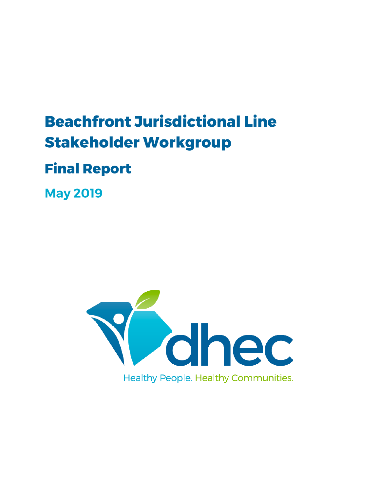# **Beachfront Jurisdictional Line Stakeholder Workgroup**

# **Final Report**

**May 2019** 

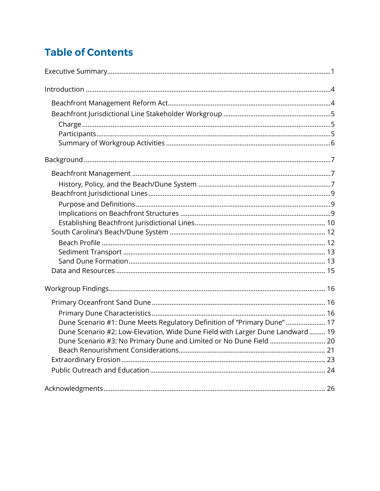# **Table of Contents**

| Dune Scenario #1: Dune Meets Regulatory Definition of "Primary Dune"  17      |
|-------------------------------------------------------------------------------|
| Dune Scenario #2: Low-Elevation, Wide Dune Field with Larger Dune Landward 19 |
| Dune Scenario #3: No Primary Dune and Limited or No Dune Field  20            |
|                                                                               |
|                                                                               |
|                                                                               |
|                                                                               |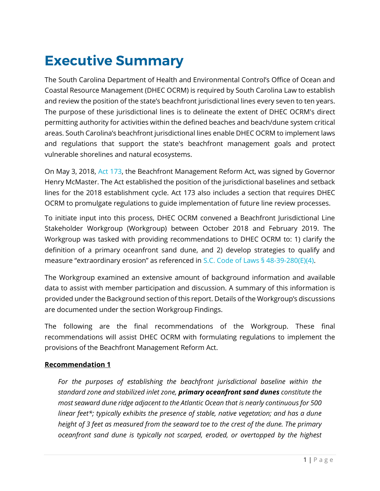# <span id="page-2-0"></span>**Executive Summary**

The South Carolina Department of Health and Environmental Control's Office of Ocean and Coastal Resource Management (DHEC OCRM) is required by South Carolina Law to establish and review the position of the state's beachfront jurisdictional lines every seven to ten years. The purpose of these jurisdictional lines is to delineate the extent of DHEC OCRM's direct permitting authority for activities within the defined beaches and beach/dune system critical areas. South Carolina's beachfront jurisdictional lines enable DHEC OCRM to implement laws and regulations that support the state's beachfront management goals and protect vulnerable shorelines and natural ecosystems.

On May 3, 2018, [Act 173,](https://www.scstatehouse.gov/sess122_2017-2018/bills/4683.htm) the Beachfront Management Reform Act, was signed by Governor Henry McMaster. The Act established the position of the jurisdictional baselines and setback lines for the 2018 establishment cycle. Act 173 also includes a section that requires DHEC OCRM to promulgate regulations to guide implementation of future line review processes.

To initiate input into this process, DHEC OCRM convened a Beachfront Jurisdictional Line Stakeholder Workgroup (Workgroup) between October 2018 and February 2019. The Workgroup was tasked with providing recommendations to DHEC OCRM to: 1) clarify the definition of a primary oceanfront sand dune, and 2) develop strategies to qualify and measure "extraordinary erosion" as referenced in [S.C. Code of Laws § 48-39-280\(E\)\(4\).](https://www.scstatehouse.gov/code/t48c039.php)

The Workgroup examined an extensive amount of background information and available data to assist with member participation and discussion. A summary of this information is provided under the Background section of this report. Details of the Workgroup's discussions are documented under the section Workgroup Findings.

The following are the final recommendations of the Workgroup. These final recommendations will assist DHEC OCRM with formulating regulations to implement the provisions of the Beachfront Management Reform Act.

#### **Recommendation 1**

*For the purposes of establishing the beachfront jurisdictional baseline within the standard zone and stabilized inlet zone, primary oceanfront sand dunes constitute the most seaward dune ridge adjacent to the Atlantic Ocean that is nearly continuous for 500 linear feet\*; typically exhibits the presence of stable, native vegetation; and has a dune height of 3 feet as measured from the seaward toe to the crest of the dune. The primary oceanfront sand dune is typically not scarped, eroded, or overtopped by the highest*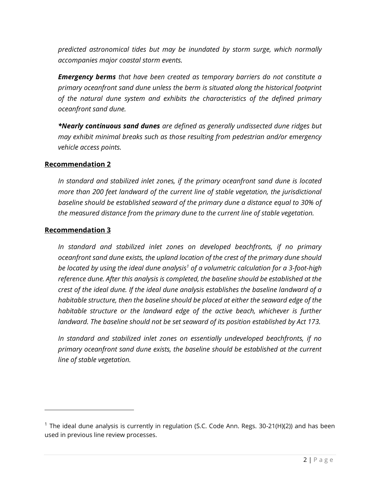*predicted astronomical tides but may be inundated by storm surge, which normally accompanies major coastal storm events.*

*Emergency berms that have been created as temporary barriers do not constitute a primary oceanfront sand dune unless the berm is situated along the historical footprint of the natural dune system and exhibits the characteristics of the defined primary oceanfront sand dune.*

*\*Nearly continuous sand dunes are defined as generally undissected dune ridges but may exhibit minimal breaks such as those resulting from pedestrian and/or emergency vehicle access points.*

#### **Recommendation 2**

*In standard and stabilized inlet zones, if the primary oceanfront sand dune is located more than 200 feet landward of the current line of stable vegetation, the jurisdictional baseline should be established seaward of the primary dune a distance equal to 30% of the measured distance from the primary dune to the current line of stable vegetation.*

#### **Recommendation 3**

*In standard and stabilized inlet zones on developed beachfronts, if no primary oceanfront sand dune exists, the upland location of the crest of the primary dune should be located by using the ideal dune analysis<sup>1</sup> of a volumetric calculation for a 3-foot-high reference dune. After this analysis is completed, the baseline should be established at the crest of the ideal dune. If the ideal dune analysis establishes the baseline landward of a habitable structure, then the baseline should be placed at either the seaward edge of the habitable structure or the landward edge of the active beach, whichever is further landward. The baseline should not be set seaward of its position established by Act 173.*

*In standard and stabilized inlet zones on essentially undeveloped beachfronts, if no primary oceanfront sand dune exists, the baseline should be established at the current line of stable vegetation.*

<sup>&</sup>lt;sup>1</sup> The ideal dune analysis is currently in regulation (S.C. Code Ann. Regs. 30-21(H)(2)) and has been used in previous line review processes.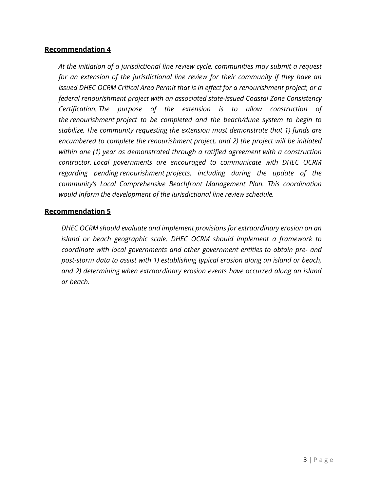#### **Recommendation 4**

*At the initiation of a jurisdictional line review cycle, communities may submit a request for an extension of the jurisdictional line review for their community if they have an issued DHEC OCRM Critical Area Permit that is in effect for a renourishment project, or a federal renourishment project with an associated state-issued Coastal Zone Consistency Certification. The purpose of the extension is to allow construction of the renourishment project to be completed and the beach/dune system to begin to stabilize. The community requesting the extension must demonstrate that 1) funds are encumbered to complete the renourishment project, and 2) the project will be initiated within one (1) year as demonstrated through a ratified agreement with a construction contractor. Local governments are encouraged to communicate with DHEC OCRM regarding pending renourishment projects, including during the update of the community's Local Comprehensive Beachfront Management Plan. This coordination would inform the development of the jurisdictional line review schedule.*

#### **Recommendation 5**

*DHEC OCRM should evaluate and implement provisions for extraordinary erosion on an island or beach geographic scale. DHEC OCRM should implement a framework to coordinate with local governments and other government entities to obtain pre- and post-storm data to assist with 1) establishing typical erosion along an island or beach, and 2) determining when extraordinary erosion events have occurred along an island or beach.*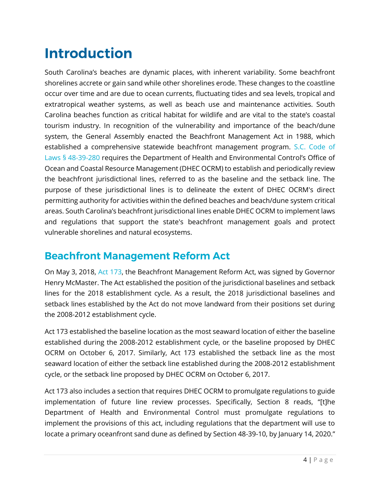# <span id="page-5-0"></span>**Introduction**

South Carolina's beaches are dynamic places, with inherent variability. Some beachfront shorelines accrete or gain sand while other shorelines erode. These changes to the coastline occur over time and are due to ocean currents, fluctuating tides and sea levels, tropical and extratropical weather systems, as well as beach use and maintenance activities. South Carolina beaches function as critical habitat for wildlife and are vital to the state's coastal tourism industry. In recognition of the vulnerability and importance of the beach/dune system, the General Assembly enacted the Beachfront Management Act in 1988, which established a comprehensive statewide beachfront management program. [S.C. Code of](https://www.scstatehouse.gov/code/t48c039.php)  [Laws § 48-39-280](https://www.scstatehouse.gov/code/t48c039.php) requires the Department of Health and Environmental Control's Office of Ocean and Coastal Resource Management (DHEC OCRM) to establish and periodically review the beachfront jurisdictional lines, referred to as the baseline and the setback line. The purpose of these jurisdictional lines is to delineate the extent of DHEC OCRM's direct permitting authority for activities within the defined beaches and beach/dune system critical areas. South Carolina's beachfront jurisdictional lines enable DHEC OCRM to implement laws and regulations that support the state's beachfront management goals and protect vulnerable shorelines and natural ecosystems.

# <span id="page-5-1"></span>**Beachfront Management Reform Act**

On May 3, 2018, [Act 173,](https://www.scstatehouse.gov/sess122_2017-2018/bills/4683.htm) the Beachfront Management Reform Act, was signed by Governor Henry McMaster. The Act established the position of the jurisdictional baselines and setback lines for the 2018 establishment cycle. As a result, the 2018 jurisdictional baselines and setback lines established by the Act do not move landward from their positions set during the 2008-2012 establishment cycle.

Act 173 established the baseline location as the most seaward location of either the baseline established during the 2008-2012 establishment cycle, or the baseline proposed by DHEC OCRM on October 6, 2017. Similarly, Act 173 established the setback line as the most seaward location of either the setback line established during the 2008-2012 establishment cycle, or the setback line proposed by DHEC OCRM on October 6, 2017.

Act 173 also includes a section that requires DHEC OCRM to promulgate regulations to guide implementation of future line review processes. Specifically, Section 8 reads, "[t]he Department of Health and Environmental Control must promulgate regulations to implement the provisions of this act, including regulations that the department will use to locate a primary oceanfront sand dune as defined by Section 48-39-10, by January 14, 2020."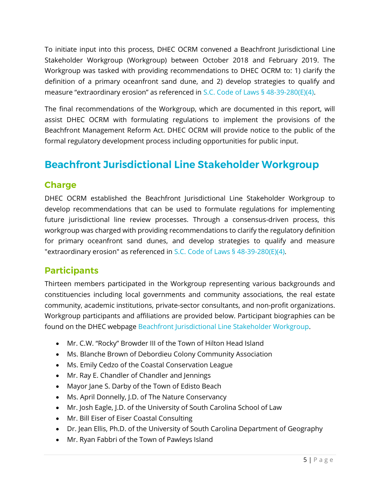To initiate input into this process, DHEC OCRM convened a Beachfront Jurisdictional Line Stakeholder Workgroup (Workgroup) between October 2018 and February 2019. The Workgroup was tasked with providing recommendations to DHEC OCRM to: 1) clarify the definition of a primary oceanfront sand dune, and 2) develop strategies to qualify and measure "extraordinary erosion" as referenced in [S.C. Code of Laws §](https://www.scstatehouse.gov/code/t48c039.php) 48-39-280(E)(4).

The final recommendations of the Workgroup, which are documented in this report, will assist DHEC OCRM with formulating regulations to implement the provisions of the Beachfront Management Reform Act. DHEC OCRM will provide notice to the public of the formal regulatory development process including opportunities for public input.

# <span id="page-6-0"></span>**Beachfront Jurisdictional Line Stakeholder Workgroup**

## <span id="page-6-1"></span>**Charge**

DHEC OCRM established the Beachfront Jurisdictional Line Stakeholder Workgroup to develop recommendations that can be used to formulate regulations for implementing future jurisdictional line review processes. Through a consensus-driven process, this workgroup was charged with providing recommendations to clarify the regulatory definition for primary oceanfront sand dunes, and develop strategies to qualify and measure "extraordinary erosion" as referenced in [S.C. Code of Laws §](https://www.scstatehouse.gov/code/t48c039.php) 48-39-280(E)(4).

### <span id="page-6-2"></span>**Participants**

Thirteen members participated in the Workgroup representing various backgrounds and constituencies including local governments and community associations, the real estate community, academic institutions, private-sector consultants, and non-profit organizations. Workgroup participants and affiliations are provided below. Participant biographies can be found on the DHEC webpage [Beachfront Jurisdictional Line Stakeholder Workgroup.](https://www.scdhec.gov/environment/your-water-coast/ocean-coastal-management-ocrm/beach-management/beachfront-jurisdictional)

- Mr. C.W. "Rocky" Browder III of the Town of Hilton Head Island
- Ms. Blanche Brown of Debordieu Colony Community Association
- Ms. Emily Cedzo of the Coastal Conservation League
- Mr. Ray E. Chandler of Chandler and Jennings
- Mayor Jane S. Darby of the Town of Edisto Beach
- Ms. April Donnelly, J.D. of The Nature Conservancy
- Mr. Josh Eagle, J.D. of the University of South Carolina School of Law
- Mr. Bill Eiser of Eiser Coastal Consulting
- Dr. Jean Ellis, Ph.D. of the University of South Carolina Department of Geography
- Mr. Ryan Fabbri of the Town of Pawleys Island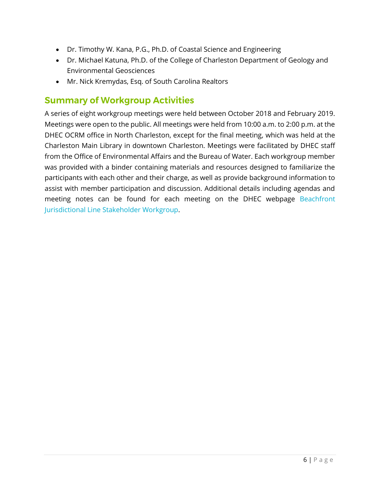- Dr. Timothy W. Kana, P.G., Ph.D. of Coastal Science and Engineering
- Dr. Michael Katuna, Ph.D. of the College of Charleston Department of Geology and Environmental Geosciences
- Mr. Nick Kremydas, Esq. of South Carolina Realtors

### <span id="page-7-0"></span>**Summary of Workgroup Activities**

A series of eight workgroup meetings were held between October 2018 and February 2019. Meetings were open to the public. All meetings were held from 10:00 a.m. to 2:00 p.m. at the DHEC OCRM office in North Charleston, except for the final meeting, which was held at the Charleston Main Library in downtown Charleston. Meetings were facilitated by DHEC staff from the Office of Environmental Affairs and the Bureau of Water. Each workgroup member was provided with a binder containing materials and resources designed to familiarize the participants with each other and their charge, as well as provide background information to assist with member participation and discussion. Additional details including agendas and meeting notes can be found for each meeting on the DHEC webpage [Beachfront](https://www.scdhec.gov/environment/your-water-coast/ocean-coastal-management-ocrm/beach-management/beachfront-jurisdictional)  [Jurisdictional Line Stakeholder Workgroup.](https://www.scdhec.gov/environment/your-water-coast/ocean-coastal-management-ocrm/beach-management/beachfront-jurisdictional)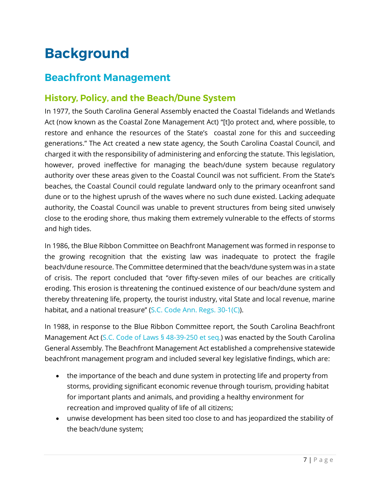# <span id="page-8-0"></span>**Background**

## <span id="page-8-1"></span>**Beachfront Management**

## <span id="page-8-2"></span>**History, Policy, and the Beach/Dune System**

In 1977, the South Carolina General Assembly enacted the Coastal Tidelands and Wetlands Act (now known as the Coastal Zone Management Act) "[t]o protect and, where possible, to restore and enhance the resources of the State's coastal zone for this and succeeding generations." The Act created a new state agency, the South Carolina Coastal Council, and charged it with the responsibility of administering and enforcing the statute. This legislation, however, proved ineffective for managing the beach/dune system because regulatory authority over these areas given to the Coastal Council was not sufficient. From the State's beaches, the Coastal Council could regulate landward only to the primary oceanfront sand dune or to the highest uprush of the waves where no such dune existed. Lacking adequate authority, the Coastal Council was unable to prevent structures from being sited unwisely close to the eroding shore, thus making them extremely vulnerable to the effects of storms and high tides.

In 1986, the Blue Ribbon Committee on Beachfront Management was formed in response to the growing recognition that the existing law was inadequate to protect the fragile beach/dune resource. The Committee determined that the beach/dune system was in a state of crisis. The report concluded that ''over fifty-seven miles of our beaches are critically eroding. This erosion is threatening the continued existence of our beach/dune system and thereby threatening life, property, the tourist industry, vital State and local revenue, marine habitat, and a national treasure" [\(S.C. Code Ann. Regs. 30-1\(C\)\)](https://www.scstatehouse.gov/coderegs/Chapter%2030.pdf).

In 1988, in response to the Blue Ribbon Committee report, the South Carolina Beachfront Management Act [\(S.C. Code of Laws](https://www.scstatehouse.gov/code/t48c039.php) § 48-39-250 et seq.) was enacted by the South Carolina General Assembly. The Beachfront Management Act established a comprehensive statewide beachfront management program and included several key legislative findings, which are:

- the importance of the beach and dune system in protecting life and property from storms, providing significant economic revenue through tourism, providing habitat for important plants and animals, and providing a healthy environment for recreation and improved quality of life of all citizens;
- unwise development has been sited too close to and has jeopardized the stability of the beach/dune system;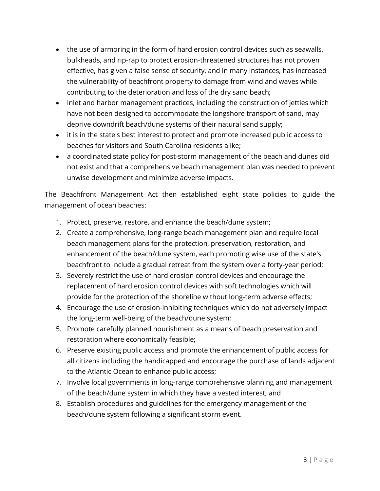- the use of armoring in the form of hard erosion control devices such as seawalls, bulkheads, and rip-rap to protect erosion-threatened structures has not proven effective, has given a false sense of security, and in many instances, has increased the vulnerability of beachfront property to damage from wind and waves while contributing to the deterioration and loss of the dry sand beach;
- inlet and harbor management practices, including the construction of jetties which have not been designed to accommodate the longshore transport of sand, may deprive downdrift beach/dune systems of their natural sand supply;
- it is in the state's best interest to protect and promote increased public access to beaches for visitors and South Carolina residents alike;
- a coordinated state policy for post-storm management of the beach and dunes did not exist and that a comprehensive beach management plan was needed to prevent unwise development and minimize adverse impacts.

The Beachfront Management Act then established eight state policies to guide the management of ocean beaches:

- 1. Protect, preserve, restore, and enhance the beach/dune system;
- 2. Create a comprehensive, long-range beach management plan and require local beach management plans for the protection, preservation, restoration, and enhancement of the beach/dune system, each promoting wise use of the state's beachfront to include a gradual retreat from the system over a forty-year period;
- 3. Severely restrict the use of hard erosion control devices and encourage the replacement of hard erosion control devices with soft technologies which will provide for the protection of the shoreline without long-term adverse effects;
- 4. Encourage the use of erosion-inhibiting techniques which do not adversely impact the long-term well-being of the beach/dune system;
- 5. Promote carefully planned nourishment as a means of beach preservation and restoration where economically feasible;
- 6. Preserve existing public access and promote the enhancement of public access for all citizens including the handicapped and encourage the purchase of lands adjacent to the Atlantic Ocean to enhance public access;
- 7. Involve local governments in long-range comprehensive planning and management of the beach/dune system in which they have a vested interest; and
- 8. Establish procedures and guidelines for the emergency management of the beach/dune system following a significant storm event.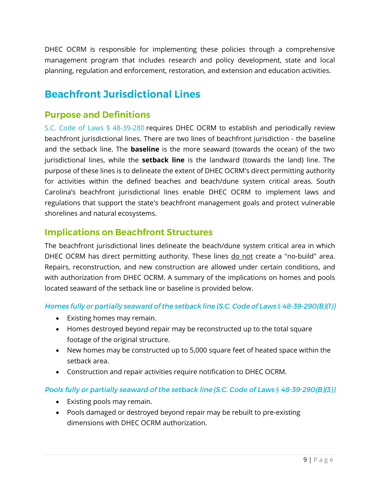DHEC OCRM is responsible for implementing these policies through a comprehensive management program that includes research and policy development, state and local planning, regulation and enforcement, restoration, and extension and education activities.

# <span id="page-10-0"></span>**Beachfront Jurisdictional Lines**

### <span id="page-10-1"></span>**Purpose and Definitions**

[S.C. Code of Laws § 48-39-280](https://www.scstatehouse.gov/code/t48c039.php) requires DHEC OCRM to establish and periodically review beachfront jurisdictional lines. There are two lines of beachfront jurisdiction - the baseline and the setback line. The **baseline** is the more seaward (towards the ocean) of the two jurisdictional lines, while the **setback line** is the landward (towards the land) line. The purpose of these lines is to delineate the extent of DHEC OCRM's direct permitting authority for activities within the defined beaches and beach/dune system critical areas. South Carolina's beachfront jurisdictional lines enable DHEC OCRM to implement laws and regulations that support the state's beachfront management goals and protect vulnerable shorelines and natural ecosystems.

### <span id="page-10-2"></span>**Implications on Beachfront Structures**

The beachfront jurisdictional lines delineate the beach/dune system critical area in which DHEC OCRM has direct permitting authority. These lines do not create a "no-build" area. Repairs, reconstruction, and new construction are allowed under certain conditions, and with authorization from DHEC OCRM. A summary of the implications on homes and pools located seaward of the setback line or baseline is provided below.

#### Homes fully or partially seaward of the setback line (S.C. Code of Laws § 48-39-290(B)(1))

- Existing homes may remain.
- Homes destroyed beyond repair may be reconstructed up to the total square footage of the original structure.
- New homes may be constructed up to 5,000 square feet of heated space within the setback area.
- Construction and repair activities require notification to DHEC OCRM.

#### **Pools fully or partially seaward of the setback line (S.C. Code of Laws § 48-39-290(B)(3))**

- Existing pools may remain.
- Pools damaged or destroyed beyond repair may be rebuilt to pre-existing dimensions with DHEC OCRM authorization.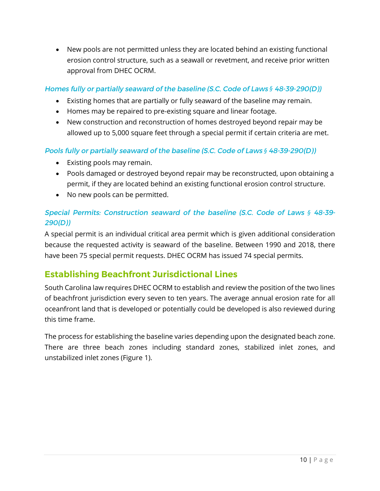• New pools are not permitted unless they are located behind an existing functional erosion control structure, such as a seawall or revetment, and receive prior written approval from DHEC OCRM.

#### Homes fully or partially seaward of the baseline (S.C. Code of Laws § 48-39-290(D))

- Existing homes that are partially or fully seaward of the baseline may remain.
- Homes may be repaired to pre-existing square and linear footage.
- New construction and reconstruction of homes destroyed beyond repair may be allowed up to 5,000 square feet through a special permit if certain criteria are met.

#### Pools fully or partially seaward of the baseline (S.C. Code of Laws § 48-39-290(D))

- Existing pools may remain.
- Pools damaged or destroyed beyond repair may be reconstructed, upon obtaining a permit, if they are located behind an existing functional erosion control structure.
- No new pools can be permitted.

#### Special Permits: Construction seaward of the baseline (S.C. Code of Laws § 48-39- $290(D)$

A special permit is an individual critical area permit which is given additional consideration because the requested activity is seaward of the baseline. Between 1990 and 2018, there have been 75 special permit requests. DHEC OCRM has issued 74 special permits.

### <span id="page-11-0"></span>**Establishing Beachfront Jurisdictional Lines**

South Carolina law requires DHEC OCRM to establish and review the position of the two lines of beachfront jurisdiction every seven to ten years. The average annual erosion rate for all oceanfront land that is developed or potentially could be developed is also reviewed during this time frame.

The process for establishing the baseline varies depending upon the designated beach zone. There are three beach zones including standard zones, stabilized inlet zones, and unstabilized inlet zones (Figure 1).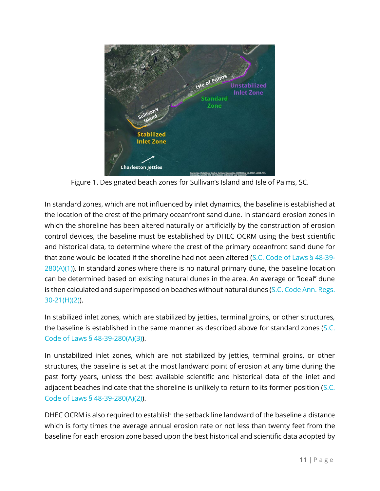

Figure 1. Designated beach zones for Sullivan's Island and Isle of Palms, SC.

In standard zones, which are not influenced by inlet dynamics, the baseline is established at the location of the crest of the primary oceanfront sand dune. In standard erosion zones in which the shoreline has been altered naturally or artificially by the construction of erosion control devices, the baseline must be established by DHEC OCRM using the best scientific and historical data, to determine where the crest of the primary oceanfront sand dune for that zone would be located if the shoreline had not been altered [\(S.C. Code of Laws § 48-39-](https://www.scstatehouse.gov/code/t48c039.php)  $280(A)(1)$  $280(A)(1)$ ). In standard zones where there is no natural primary dune, the baseline location can be determined based on existing natural dunes in the area. An average or ''ideal'' dune is then calculated and superimposed on beaches without natural dunes [\(S.C. Code Ann. Regs.](https://www.scstatehouse.gov/coderegs/Chapter%2030.pdf) [30-21\(H\)\(2\)\)](https://www.scstatehouse.gov/coderegs/Chapter%2030.pdf).

In stabilized inlet zones, which are stabilized by jetties, terminal groins, or other structures, the baseline is established in the same manner as described above for standard zones [\(S.C.](https://www.scstatehouse.gov/code/t48c039.php)  [Code of Laws § 48-39-280\(A\)\(](https://www.scstatehouse.gov/code/t48c039.php)3)).

In unstabilized inlet zones, which are not stabilized by jetties, terminal groins, or other structures, the baseline is set at the most landward point of erosion at any time during the past forty years, unless the best available scientific and historical data of the inlet and adjacent beaches indicate that the shoreline is unlikely to return to its former position (S.C. [Code of Laws § 48-39-280\(A\)\(](https://www.scstatehouse.gov/code/t48c039.php)2)).

DHEC OCRM is also required to establish the setback line landward of the baseline a distance which is forty times the average annual erosion rate or not less than twenty feet from the baseline for each erosion zone based upon the best historical and scientific data adopted by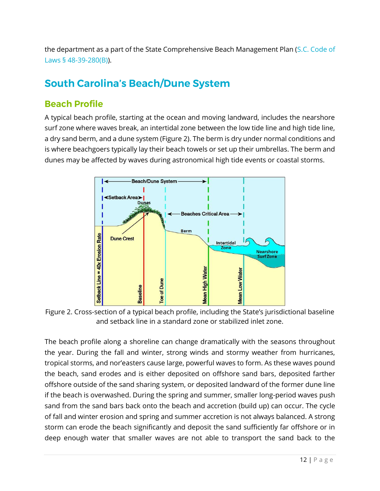the department as a part of the State Comprehensive Beach Management Plan [\(S.C. Code of](https://www.scstatehouse.gov/code/t48c039.php) [Laws § 48-39-280\(B\)\)](https://www.scstatehouse.gov/code/t48c039.php).

# <span id="page-13-0"></span>**South Carolina's Beach/Dune System**

## <span id="page-13-1"></span>**Beach Profile**

A typical beach profile, starting at the ocean and moving landward, includes the nearshore surf zone where waves break, an intertidal zone between the low tide line and high tide line, a dry sand berm, and a dune system (Figure 2). The berm is dry under normal conditions and is where beachgoers typically lay their beach towels or set up their umbrellas. The berm and dunes may be affected by waves during astronomical high tide events or coastal storms.



Figure 2. Cross-section of a typical beach profile, including the State's jurisdictional baseline and setback line in a standard zone or stabilized inlet zone.

The beach profile along a shoreline can change dramatically with the seasons throughout the year. During the fall and winter, strong winds and stormy weather from hurricanes, tropical storms, and nor'easters cause large, powerful waves to form. As these waves pound the beach, sand erodes and is either deposited on offshore sand bars, deposited farther offshore outside of the sand sharing system, or deposited landward of the former dune line if the beach is overwashed. During the spring and summer, smaller long-period waves push sand from the sand bars back onto the beach and accretion (build up) can occur. The cycle of fall and winter erosion and spring and summer accretion is not always balanced. A strong storm can erode the beach significantly and deposit the sand sufficiently far offshore or in deep enough water that smaller waves are not able to transport the sand back to the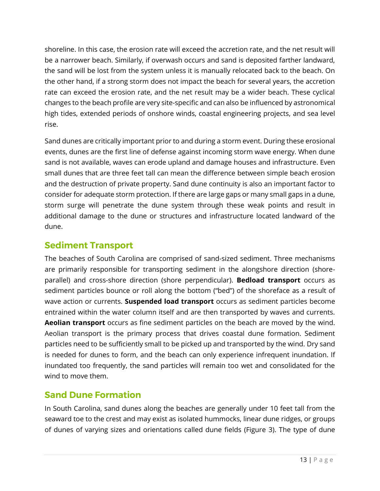shoreline. In this case, the erosion rate will exceed the accretion rate, and the net result will be a narrower beach. Similarly, if overwash occurs and sand is deposited farther landward, the sand will be lost from the system unless it is manually relocated back to the beach. On the other hand, if a strong storm does not impact the beach for several years, the accretion rate can exceed the erosion rate, and the net result may be a wider beach. These cyclical changes to the beach profile are very site-specific and can also be influenced by astronomical high tides, extended periods of onshore winds, coastal engineering projects, and sea level rise.

Sand dunes are critically important prior to and during a storm event. During these erosional events, dunes are the first line of defense against incoming storm wave energy. When dune sand is not available, waves can erode upland and damage houses and infrastructure. Even small dunes that are three feet tall can mean the difference between simple beach erosion and the destruction of private property. Sand dune continuity is also an important factor to consider for adequate storm protection. If there are large gaps or many small gaps in a dune, storm surge will penetrate the dune system through these weak points and result in additional damage to the dune or structures and infrastructure located landward of the dune.

### <span id="page-14-0"></span>**Sediment Transport**

The beaches of South Carolina are comprised of sand-sized sediment. Three mechanisms are primarily responsible for transporting sediment in the alongshore direction (shoreparallel) and cross-shore direction (shore perpendicular). **Bedload transport** occurs as sediment particles bounce or roll along the bottom ("bed") of the shoreface as a result of wave action or currents. **Suspended load transport** occurs as sediment particles become entrained within the water column itself and are then transported by waves and currents. **Aeolian transport** occurs as fine sediment particles on the beach are moved by the wind. Aeolian transport is the primary process that drives coastal dune formation. Sediment particles need to be sufficiently small to be picked up and transported by the wind. Dry sand is needed for dunes to form, and the beach can only experience infrequent inundation. If inundated too frequently, the sand particles will remain too wet and consolidated for the wind to move them.

## <span id="page-14-1"></span>**Sand Dune Formation**

In South Carolina, sand dunes along the beaches are generally under 10 feet tall from the seaward toe to the crest and may exist as isolated hummocks, linear dune ridges, or groups of dunes of varying sizes and orientations called dune fields (Figure 3). The type of dune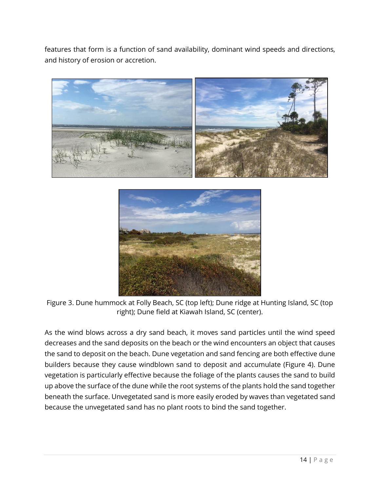features that form is a function of sand availability, dominant wind speeds and directions, and history of erosion or accretion.





Figure 3. Dune hummock at Folly Beach, SC (top left); Dune ridge at Hunting Island, SC (top right); Dune field at Kiawah Island, SC (center).

As the wind blows across a dry sand beach, it moves sand particles until the wind speed decreases and the sand deposits on the beach or the wind encounters an object that causes the sand to deposit on the beach. Dune vegetation and sand fencing are both effective dune builders because they cause windblown sand to deposit and accumulate (Figure 4). Dune vegetation is particularly effective because the foliage of the plants causes the sand to build up above the surface of the dune while the root systems of the plants hold the sand together beneath the surface. Unvegetated sand is more easily eroded by waves than vegetated sand because the unvegetated sand has no plant roots to bind the sand together.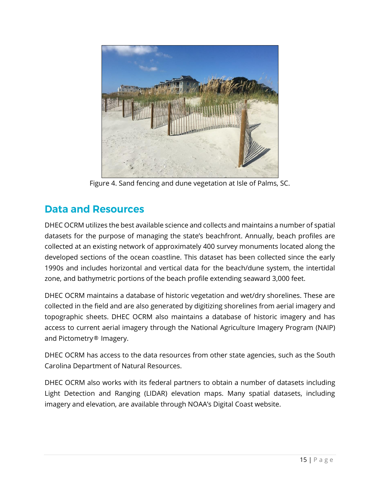

Figure 4. Sand fencing and dune vegetation at Isle of Palms, SC.

# <span id="page-16-0"></span>**Data and Resources**

DHEC OCRM utilizes the best available science and collects and maintains a number of spatial datasets for the purpose of managing the state's beachfront. Annually, beach profiles are collected at an existing network of approximately 400 survey monuments located along the developed sections of the ocean coastline. This dataset has been collected since the early 1990s and includes horizontal and vertical data for the beach/dune system, the intertidal zone, and bathymetric portions of the beach profile extending seaward 3,000 feet.

DHEC OCRM maintains a database of historic vegetation and wet/dry shorelines. These are collected in the field and are also generated by digitizing shorelines from aerial imagery and topographic sheets. DHEC OCRM also maintains a database of historic imagery and has access to current aerial imagery through the National Agriculture Imagery Program (NAIP) and Pictometry® Imagery.

DHEC OCRM has access to the data resources from other state agencies, such as the South Carolina Department of Natural Resources.

DHEC OCRM also works with its federal partners to obtain a number of datasets including Light Detection and Ranging (LIDAR) elevation maps. Many spatial datasets, including imagery and elevation, are available through NOAA's Digital Coast website.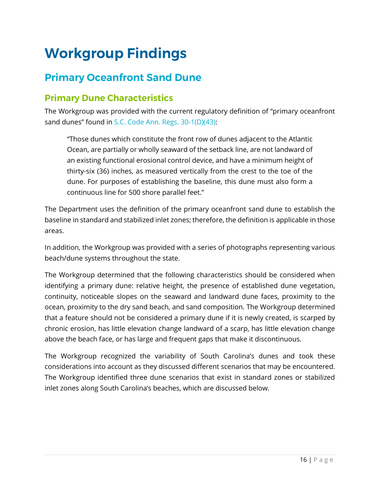# <span id="page-17-0"></span>**Workgroup Findings**

# <span id="page-17-1"></span>**Primary Oceanfront Sand Dune**

## <span id="page-17-2"></span>**Primary Dune Characteristics**

The Workgroup was provided with the current regulatory definition of "primary oceanfront sand dunes" found in [S.C. Code Ann. Regs. 30-1\(D\)\(43\):](https://www.scstatehouse.gov/coderegs/Chapter%2030.pdf)

"Those dunes which constitute the front row of dunes adjacent to the Atlantic Ocean, are partially or wholly seaward of the setback line, are not landward of an existing functional erosional control device, and have a minimum height of thirty-six (36) inches, as measured vertically from the crest to the toe of the dune. For purposes of establishing the baseline, this dune must also form a continuous line for 500 shore parallel feet."

The Department uses the definition of the primary oceanfront sand dune to establish the baseline in standard and stabilized inlet zones; therefore, the definition is applicable in those areas.

In addition, the Workgroup was provided with a series of photographs representing various beach/dune systems throughout the state.

The Workgroup determined that the following characteristics should be considered when identifying a primary dune: relative height, the presence of established dune vegetation, continuity, noticeable slopes on the seaward and landward dune faces, proximity to the ocean, proximity to the dry sand beach, and sand composition. The Workgroup determined that a feature should not be considered a primary dune if it is newly created, is scarped by chronic erosion, has little elevation change landward of a scarp, has little elevation change above the beach face, or has large and frequent gaps that make it discontinuous.

The Workgroup recognized the variability of South Carolina's dunes and took these considerations into account as they discussed different scenarios that may be encountered. The Workgroup identified three dune scenarios that exist in standard zones or stabilized inlet zones along South Carolina's beaches, which are discussed below.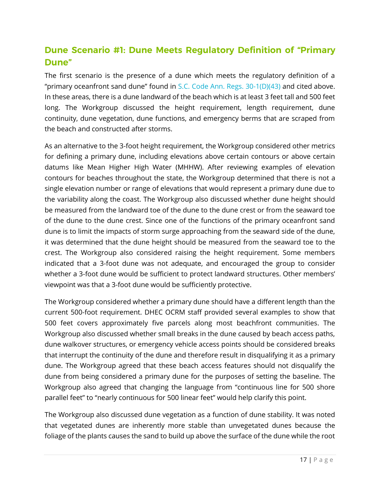## <span id="page-18-0"></span>**Dune Scenario #1: Dune Meets Regulatory Definition of "Primary"** Dune"

The first scenario is the presence of a dune which meets the regulatory definition of a "primary oceanfront sand dune" found in [S.C. Code Ann. Regs. 30-1\(D\)\(43\)](https://www.scstatehouse.gov/coderegs/Chapter%2030.pdf) and cited above. In these areas, there is a dune landward of the beach which is at least 3 feet tall and 500 feet long. The Workgroup discussed the height requirement, length requirement, dune continuity, dune vegetation, dune functions, and emergency berms that are scraped from the beach and constructed after storms.

As an alternative to the 3-foot height requirement, the Workgroup considered other metrics for defining a primary dune, including elevations above certain contours or above certain datums like Mean Higher High Water (MHHW). After reviewing examples of elevation contours for beaches throughout the state, the Workgroup determined that there is not a single elevation number or range of elevations that would represent a primary dune due to the variability along the coast. The Workgroup also discussed whether dune height should be measured from the landward toe of the dune to the dune crest or from the seaward toe of the dune to the dune crest. Since one of the functions of the primary oceanfront sand dune is to limit the impacts of storm surge approaching from the seaward side of the dune, it was determined that the dune height should be measured from the seaward toe to the crest. The Workgroup also considered raising the height requirement. Some members indicated that a 3-foot dune was not adequate, and encouraged the group to consider whether a 3-foot dune would be sufficient to protect landward structures. Other members' viewpoint was that a 3-foot dune would be sufficiently protective.

The Workgroup considered whether a primary dune should have a different length than the current 500-foot requirement. DHEC OCRM staff provided several examples to show that 500 feet covers approximately five parcels along most beachfront communities. The Workgroup also discussed whether small breaks in the dune caused by beach access paths, dune walkover structures, or emergency vehicle access points should be considered breaks that interrupt the continuity of the dune and therefore result in disqualifying it as a primary dune. The Workgroup agreed that these beach access features should not disqualify the dune from being considered a primary dune for the purposes of setting the baseline. The Workgroup also agreed that changing the language from "continuous line for 500 shore parallel feet" to "nearly continuous for 500 linear feet" would help clarify this point.

The Workgroup also discussed dune vegetation as a function of dune stability. It was noted that vegetated dunes are inherently more stable than unvegetated dunes because the foliage of the plants causes the sand to build up above the surface of the dune while the root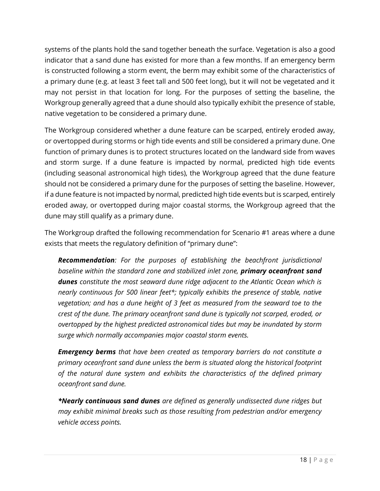systems of the plants hold the sand together beneath the surface. Vegetation is also a good indicator that a sand dune has existed for more than a few months. If an emergency berm is constructed following a storm event, the berm may exhibit some of the characteristics of a primary dune (e.g. at least 3 feet tall and 500 feet long), but it will not be vegetated and it may not persist in that location for long. For the purposes of setting the baseline, the Workgroup generally agreed that a dune should also typically exhibit the presence of stable, native vegetation to be considered a primary dune.

The Workgroup considered whether a dune feature can be scarped, entirely eroded away, or overtopped during storms or high tide events and still be considered a primary dune. One function of primary dunes is to protect structures located on the landward side from waves and storm surge. If a dune feature is impacted by normal, predicted high tide events (including seasonal astronomical high tides), the Workgroup agreed that the dune feature should not be considered a primary dune for the purposes of setting the baseline. However, if a dune feature is not impacted by normal, predicted high tide events but is scarped, entirely eroded away, or overtopped during major coastal storms, the Workgroup agreed that the dune may still qualify as a primary dune.

The Workgroup drafted the following recommendation for Scenario #1 areas where a dune exists that meets the regulatory definition of "primary dune":

*Recommendation: For the purposes of establishing the beachfront jurisdictional baseline within the standard zone and stabilized inlet zone, primary oceanfront sand dunes constitute the most seaward dune ridge adjacent to the Atlantic Ocean which is nearly continuous for 500 linear feet\*; typically exhibits the presence of stable, native vegetation; and has a dune height of 3 feet as measured from the seaward toe to the crest of the dune. The primary oceanfront sand dune is typically not scarped, eroded, or overtopped by the highest predicted astronomical tides but may be inundated by storm surge which normally accompanies major coastal storm events.*

*Emergency berms that have been created as temporary barriers do not constitute a primary oceanfront sand dune unless the berm is situated along the historical footprint of the natural dune system and exhibits the characteristics of the defined primary oceanfront sand dune.*

*\*Nearly continuous sand dunes are defined as generally undissected dune ridges but may exhibit minimal breaks such as those resulting from pedestrian and/or emergency vehicle access points.*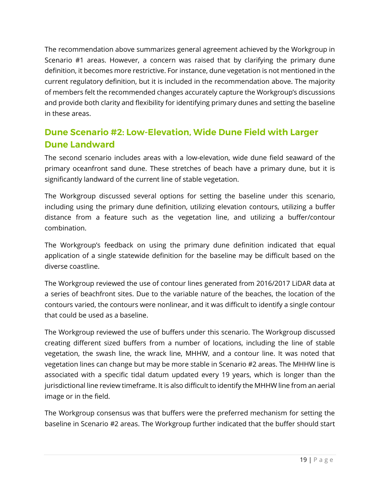The recommendation above summarizes general agreement achieved by the Workgroup in Scenario #1 areas. However, a concern was raised that by clarifying the primary dune definition, it becomes more restrictive. For instance, dune vegetation is not mentioned in the current regulatory definition, but it is included in the recommendation above. The majority of members felt the recommended changes accurately capture the Workgroup's discussions and provide both clarity and flexibility for identifying primary dunes and setting the baseline in these areas.

## <span id="page-20-0"></span>**Dune Scenario #2: Low-Elevation, Wide Dune Field with Larger Dune Landward**

The second scenario includes areas with a low-elevation, wide dune field seaward of the primary oceanfront sand dune. These stretches of beach have a primary dune, but it is significantly landward of the current line of stable vegetation.

The Workgroup discussed several options for setting the baseline under this scenario, including using the primary dune definition, utilizing elevation contours, utilizing a buffer distance from a feature such as the vegetation line, and utilizing a buffer/contour combination.

The Workgroup's feedback on using the primary dune definition indicated that equal application of a single statewide definition for the baseline may be difficult based on the diverse coastline.

The Workgroup reviewed the use of contour lines generated from 2016/2017 LiDAR data at a series of beachfront sites. Due to the variable nature of the beaches, the location of the contours varied, the contours were nonlinear, and it was difficult to identify a single contour that could be used as a baseline.

The Workgroup reviewed the use of buffers under this scenario. The Workgroup discussed creating different sized buffers from a number of locations, including the line of stable vegetation, the swash line, the wrack line, MHHW, and a contour line. It was noted that vegetation lines can change but may be more stable in Scenario #2 areas. The MHHW line is associated with a specific tidal datum updated every 19 years, which is longer than the jurisdictional line review timeframe. It is also difficult to identify the MHHW line from an aerial image or in the field.

The Workgroup consensus was that buffers were the preferred mechanism for setting the baseline in Scenario #2 areas. The Workgroup further indicated that the buffer should start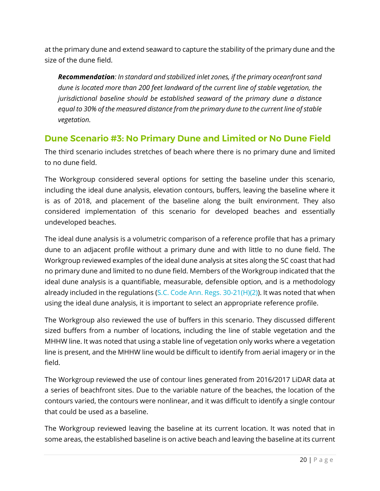at the primary dune and extend seaward to capture the stability of the primary dune and the size of the dune field.

*Recommendation: In standard and stabilized inlet zones, if the primary oceanfront sand dune is located more than 200 feet landward of the current line of stable vegetation, the jurisdictional baseline should be established seaward of the primary dune a distance equal to 30% of the measured distance from the primary dune to the current line of stable vegetation.*

### <span id="page-21-0"></span>**Dune Scenario #3: No Primary Dune and Limited or No Dune Field**

The third scenario includes stretches of beach where there is no primary dune and limited to no dune field.

The Workgroup considered several options for setting the baseline under this scenario, including the ideal dune analysis, elevation contours, buffers, leaving the baseline where it is as of 2018, and placement of the baseline along the built environment. They also considered implementation of this scenario for developed beaches and essentially undeveloped beaches.

The ideal dune analysis is a volumetric comparison of a reference profile that has a primary dune to an adjacent profile without a primary dune and with little to no dune field. The Workgroup reviewed examples of the ideal dune analysis at sites along the SC coast that had no primary dune and limited to no dune field. Members of the Workgroup indicated that the ideal dune analysis is a quantifiable, measurable, defensible option, and is a methodology already included in the regulations [\(S.C. Code Ann. Regs.](https://www.scstatehouse.gov/coderegs/Chapter%2030.pdf) [30-21\(H\)\(2\)\)](https://www.scstatehouse.gov/coderegs/Chapter%2030.pdf). It was noted that when using the ideal dune analysis, it is important to select an appropriate reference profile.

The Workgroup also reviewed the use of buffers in this scenario. They discussed different sized buffers from a number of locations, including the line of stable vegetation and the MHHW line. It was noted that using a stable line of vegetation only works where a vegetation line is present, and the MHHW line would be difficult to identify from aerial imagery or in the field.

The Workgroup reviewed the use of contour lines generated from 2016/2017 LiDAR data at a series of beachfront sites. Due to the variable nature of the beaches, the location of the contours varied, the contours were nonlinear, and it was difficult to identify a single contour that could be used as a baseline.

The Workgroup reviewed leaving the baseline at its current location. It was noted that in some areas, the established baseline is on active beach and leaving the baseline at its current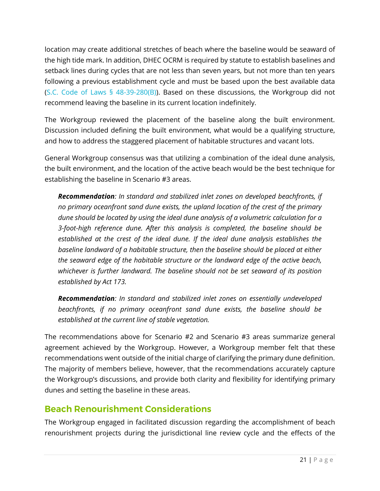location may create additional stretches of beach where the baseline would be seaward of the high tide mark. In addition, DHEC OCRM is required by statute to establish baselines and setback lines during cycles that are not less than seven years, but not more than ten years following a previous establishment cycle and must be based upon the best available data (S.C. Code of Laws § 48-39-280 $(B)$ ). Based on these discussions, the Workgroup did not recommend leaving the baseline in its current location indefinitely.

The Workgroup reviewed the placement of the baseline along the built environment. Discussion included defining the built environment, what would be a qualifying structure, and how to address the staggered placement of habitable structures and vacant lots.

General Workgroup consensus was that utilizing a combination of the ideal dune analysis, the built environment, and the location of the active beach would be the best technique for establishing the baseline in Scenario #3 areas.

*Recommendation: In standard and stabilized inlet zones on developed beachfronts, if no primary oceanfront sand dune exists, the upland location of the crest of the primary dune should be located by using the ideal dune analysis of a volumetric calculation for a 3-foot-high reference dune. After this analysis is completed, the baseline should be established at the crest of the ideal dune. If the ideal dune analysis establishes the baseline landward of a habitable structure, then the baseline should be placed at either the seaward edge of the habitable structure or the landward edge of the active beach, whichever is further landward. The baseline should not be set seaward of its position established by Act 173.*

*Recommendation: In standard and stabilized inlet zones on essentially undeveloped beachfronts, if no primary oceanfront sand dune exists, the baseline should be established at the current line of stable vegetation.*

The recommendations above for Scenario #2 and Scenario #3 areas summarize general agreement achieved by the Workgroup. However, a Workgroup member felt that these recommendations went outside of the initial charge of clarifying the primary dune definition. The majority of members believe, however, that the recommendations accurately capture the Workgroup's discussions, and provide both clarity and flexibility for identifying primary dunes and setting the baseline in these areas.

## <span id="page-22-0"></span>**Beach Renourishment Considerations**

The Workgroup engaged in facilitated discussion regarding the accomplishment of beach renourishment projects during the jurisdictional line review cycle and the effects of the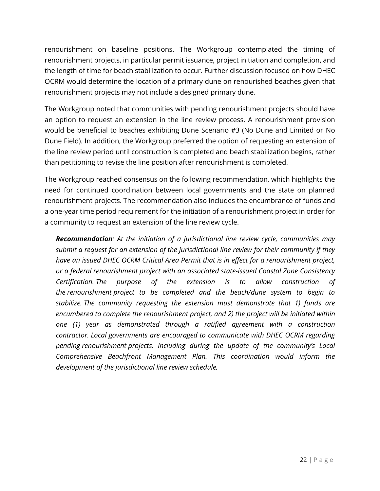renourishment on baseline positions. The Workgroup contemplated the timing of renourishment projects, in particular permit issuance, project initiation and completion, and the length of time for beach stabilization to occur. Further discussion focused on how DHEC OCRM would determine the location of a primary dune on renourished beaches given that renourishment projects may not include a designed primary dune.

The Workgroup noted that communities with pending renourishment projects should have an option to request an extension in the line review process. A renourishment provision would be beneficial to beaches exhibiting Dune Scenario #3 (No Dune and Limited or No Dune Field). In addition, the Workgroup preferred the option of requesting an extension of the line review period until construction is completed and beach stabilization begins, rather than petitioning to revise the line position after renourishment is completed.

The Workgroup reached consensus on the following recommendation, which highlights the need for continued coordination between local governments and the state on planned renourishment projects. The recommendation also includes the encumbrance of funds and a one-year time period requirement for the initiation of a renourishment project in order for a community to request an extension of the line review cycle.

*Recommendation: At the initiation of a jurisdictional line review cycle, communities may submit a request for an extension of the jurisdictional line review for their community if they have an issued DHEC OCRM Critical Area Permit that is in effect for a renourishment project, or a federal renourishment project with an associated state-issued Coastal Zone Consistency Certification. The purpose of the extension is to allow construction of the renourishment project to be completed and the beach/dune system to begin to stabilize. The community requesting the extension must demonstrate that 1) funds are encumbered to complete the renourishment project, and 2) the project will be initiated within one (1) year as demonstrated through a ratified agreement with a construction contractor. Local governments are encouraged to communicate with DHEC OCRM regarding pending renourishment projects, including during the update of the community's Local Comprehensive Beachfront Management Plan. This coordination would inform the development of the jurisdictional line review schedule.*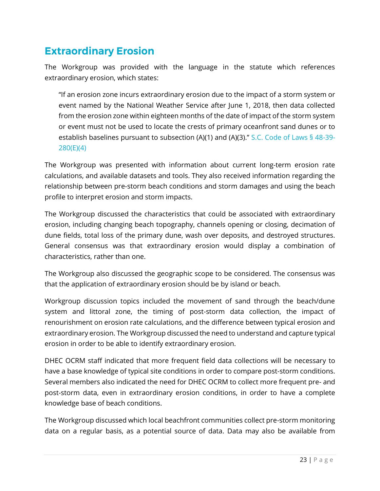# <span id="page-24-0"></span>**Extraordinary Erosion**

The Workgroup was provided with the language in the statute which references extraordinary erosion, which states:

"If an erosion zone incurs extraordinary erosion due to the impact of a storm system or event named by the National Weather Service after June 1, 2018, then data collected from the erosion zone within eighteen months of the date of impact of the storm system or event must not be used to locate the crests of primary oceanfront sand dunes or to establish baselines pursuant to subsection (A)(1) and (A)(3)." [S.C. Code of Laws § 48-39-](https://www.scstatehouse.gov/code/t48c039.php) [280\(E\)\(](https://www.scstatehouse.gov/code/t48c039.php)4)

The Workgroup was presented with information about current long-term erosion rate calculations, and available datasets and tools. They also received information regarding the relationship between pre-storm beach conditions and storm damages and using the beach profile to interpret erosion and storm impacts.

The Workgroup discussed the characteristics that could be associated with extraordinary erosion, including changing beach topography, channels opening or closing, decimation of dune fields, total loss of the primary dune, wash over deposits, and destroyed structures. General consensus was that extraordinary erosion would display a combination of characteristics, rather than one.

The Workgroup also discussed the geographic scope to be considered. The consensus was that the application of extraordinary erosion should be by island or beach.

Workgroup discussion topics included the movement of sand through the beach/dune system and littoral zone, the timing of post-storm data collection, the impact of renourishment on erosion rate calculations, and the difference between typical erosion and extraordinary erosion. The Workgroup discussed the need to understand and capture typical erosion in order to be able to identify extraordinary erosion.

DHEC OCRM staff indicated that more frequent field data collections will be necessary to have a base knowledge of typical site conditions in order to compare post-storm conditions. Several members also indicated the need for DHEC OCRM to collect more frequent pre- and post-storm data, even in extraordinary erosion conditions, in order to have a complete knowledge base of beach conditions.

The Workgroup discussed which local beachfront communities collect pre-storm monitoring data on a regular basis, as a potential source of data. Data may also be available from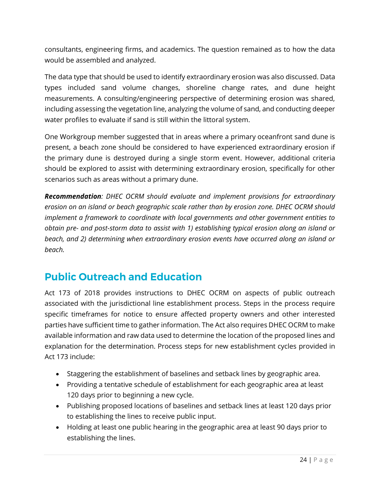consultants, engineering firms, and academics. The question remained as to how the data would be assembled and analyzed.

The data type that should be used to identify extraordinary erosion was also discussed. Data types included sand volume changes, shoreline change rates, and dune height measurements. A consulting/engineering perspective of determining erosion was shared, including assessing the vegetation line, analyzing the volume of sand, and conducting deeper water profiles to evaluate if sand is still within the littoral system.

One Workgroup member suggested that in areas where a primary oceanfront sand dune is present, a beach zone should be considered to have experienced extraordinary erosion if the primary dune is destroyed during a single storm event. However, additional criteria should be explored to assist with determining extraordinary erosion, specifically for other scenarios such as areas without a primary dune.

*Recommendation: DHEC OCRM should evaluate and implement provisions for extraordinary erosion on an island or beach geographic scale rather than by erosion zone. DHEC OCRM should implement a framework to coordinate with local governments and other government entities to obtain pre- and post-storm data to assist with 1) establishing typical erosion along an island or beach, and 2) determining when extraordinary erosion events have occurred along an island or beach.* 

# <span id="page-25-0"></span>**Public Outreach and Education**

Act 173 of 2018 provides instructions to DHEC OCRM on aspects of public outreach associated with the jurisdictional line establishment process. Steps in the process require specific timeframes for notice to ensure affected property owners and other interested parties have sufficient time to gather information. The Act also requires DHEC OCRM to make available information and raw data used to determine the location of the proposed lines and explanation for the determination. Process steps for new establishment cycles provided in Act 173 include:

- Staggering the establishment of baselines and setback lines by geographic area.
- Providing a tentative schedule of establishment for each geographic area at least 120 days prior to beginning a new cycle.
- Publishing proposed locations of baselines and setback lines at least 120 days prior to establishing the lines to receive public input.
- Holding at least one public hearing in the geographic area at least 90 days prior to establishing the lines.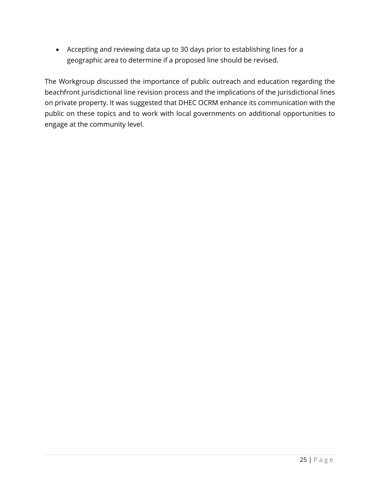• Accepting and reviewing data up to 30 days prior to establishing lines for a geographic area to determine if a proposed line should be revised.

The Workgroup discussed the importance of public outreach and education regarding the beachfront jurisdictional line revision process and the implications of the jurisdictional lines on private property. It was suggested that DHEC OCRM enhance its communication with the public on these topics and to work with local governments on additional opportunities to engage at the community level.